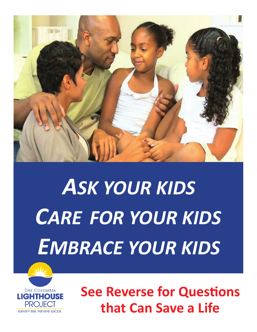

## *ASK YOUR KIDS CARE FOR YOUR KIDS EMBRACE YOUR KIDS*



**See Reverse for Questions that Can Save a Life**